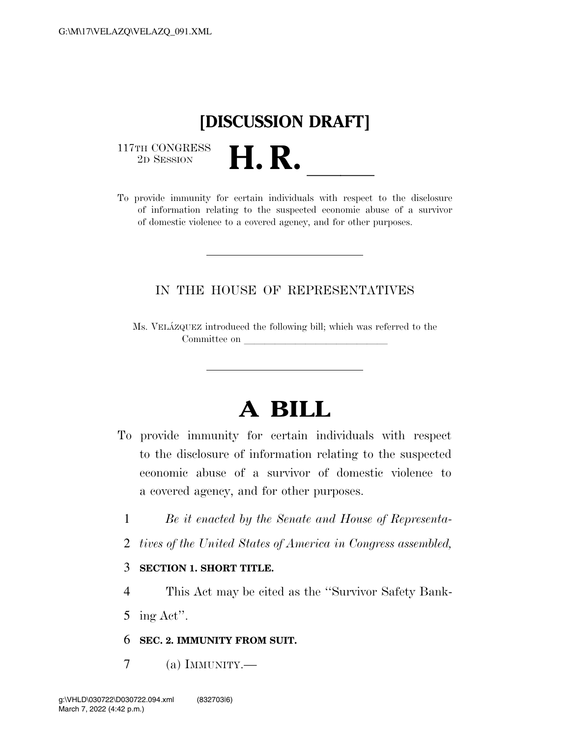# **[DISCUSSION DRAFT]**

 $\begin{array}{c} \text{117TH CONGRESS} \\ \text{2D SESION} \end{array}$ 

117TH CONGRESS<br>
2D SESSION<br>
To provide immunity for certain individuals with respect to the disclosure of information relating to the suspected economic abuse of a survivor of domestic violence to a covered agency, and for other purposes.

# IN THE HOUSE OF REPRESENTATIVES

Ms. VELA´ZQUEZ introduced the following bill; which was referred to the Committee on

# **A BILL**

- To provide immunity for certain individuals with respect to the disclosure of information relating to the suspected economic abuse of a survivor of domestic violence to a covered agency, and for other purposes.
	- 1 *Be it enacted by the Senate and House of Representa-*
	- 2 *tives of the United States of America in Congress assembled,*

#### 3 **SECTION 1. SHORT TITLE.**

4 This Act may be cited as the ''Survivor Safety Bank-

5 ing Act''.

- 6 **SEC. 2. IMMUNITY FROM SUIT.**
- 7 (a) IMMUNITY.—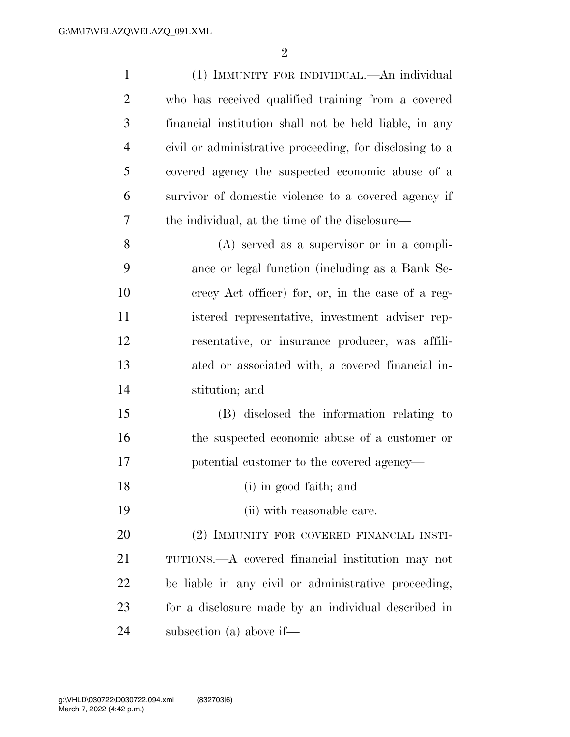| $\mathbf{1}$   | (1) IMMUNITY FOR INDIVIDUAL.—An individual              |
|----------------|---------------------------------------------------------|
| $\overline{2}$ | who has received qualified training from a covered      |
| 3              | financial institution shall not be held liable, in any  |
| $\overline{4}$ | civil or administrative proceeding, for disclosing to a |
| 5              | covered agency the suspected economic abuse of a        |
| 6              | survivor of domestic violence to a covered agency if    |
| 7              | the individual, at the time of the disclosure—          |
| 8              | $(A)$ served as a supervisor or in a compli-            |
| 9              | ance or legal function (including as a Bank Se-         |
| 10             | erecy Act officer) for, or, in the case of a reg-       |
| 11             | istered representative, investment adviser rep-         |
| 12             | resentative, or insurance producer, was affili-         |
| 13             | ated or associated with, a covered financial in-        |
| 14             | stitution; and                                          |
| 15             | (B) disclosed the information relating to               |
| 16             | the suspected economic abuse of a customer or           |
| 17             | potential customer to the covered agency—               |
| 18             | (i) in good faith; and                                  |
| 19             | (ii) with reasonable care.                              |
| 20             | (2) IMMUNITY FOR COVERED FINANCIAL INSTI-               |
| 21             | TUTIONS.—A covered financial institution may not        |
| 22             | be liable in any civil or administrative proceeding,    |
| 23             | for a disclosure made by an individual described in     |
| 24             | subsection (a) above if—                                |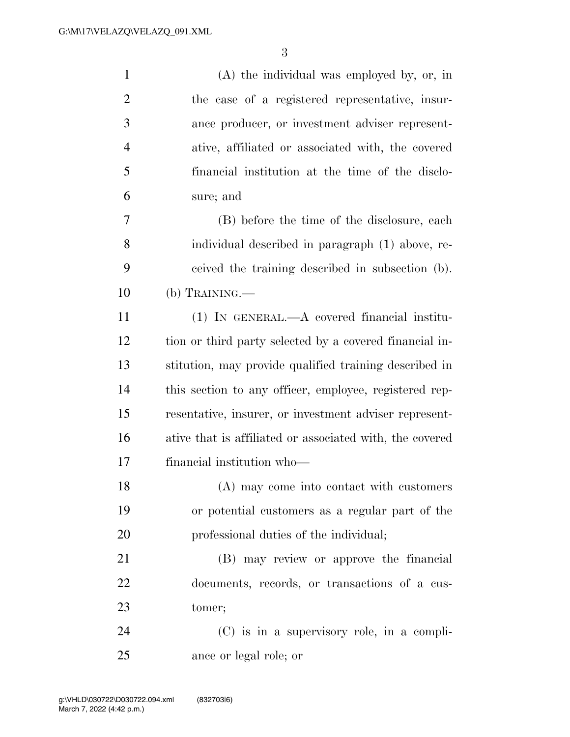| $\mathbf{1}$   | $(A)$ the individual was employed by, or, in             |
|----------------|----------------------------------------------------------|
| $\overline{2}$ | the case of a registered representative, insur-          |
| 3              | ance producer, or investment adviser represent-          |
| $\overline{4}$ | ative, affiliated or associated with, the covered        |
| 5              | financial institution at the time of the disclo-         |
| 6              | sure; and                                                |
| 7              | (B) before the time of the disclosure, each              |
| 8              | individual described in paragraph (1) above, re-         |
| 9              | ceived the training described in subsection (b).         |
| 10             | (b) TRAINING.—                                           |
| 11             | $(1)$ In GENERAL.—A covered financial institu-           |
| 12             | tion or third party selected by a covered financial in-  |
| 13             | stitution, may provide qualified training described in   |
| 14             | this section to any officer, employee, registered rep-   |
| 15             | resentative, insurer, or investment adviser represent-   |
| 16             | ative that is affiliated or associated with, the covered |
| 17             | financial institution who-                               |
| 18             | (A) may come into contact with customers                 |
| 19             | or potential customers as a regular part of the          |
| 20             | professional duties of the individual;                   |
| 21             | (B) may review or approve the financial                  |
| 22             | documents, records, or transactions of a cus-            |
| 23             | tomer;                                                   |
| 24             | $(C)$ is in a supervisory role, in a compli-             |
| 25             | ance or legal role; or                                   |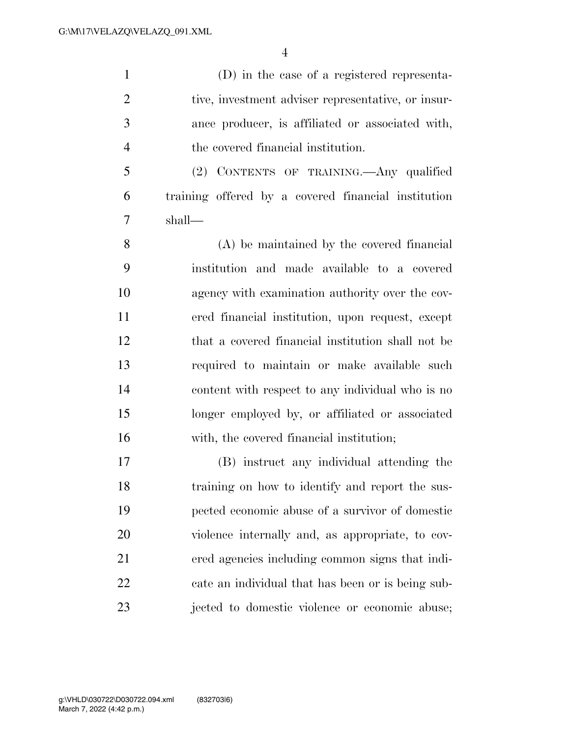(D) in the case of a registered representa-2 tive, investment adviser representative, or insur- ance producer, is affiliated or associated with, the covered financial institution.

 (2) CONTENTS OF TRAINING.—Any qualified training offered by a covered financial institution shall—

 (A) be maintained by the covered financial institution and made available to a covered agency with examination authority over the cov- ered financial institution, upon request, except that a covered financial institution shall not be required to maintain or make available such content with respect to any individual who is no longer employed by, or affiliated or associated with, the covered financial institution;

 (B) instruct any individual attending the training on how to identify and report the sus- pected economic abuse of a survivor of domestic violence internally and, as appropriate, to cov- ered agencies including common signs that indi- cate an individual that has been or is being sub-jected to domestic violence or economic abuse;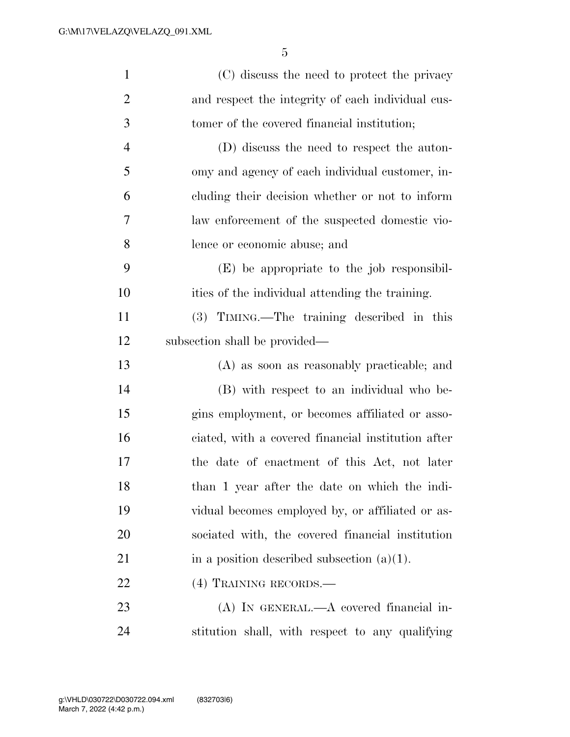| $\mathbf{1}$   | (C) discuss the need to protect the privacy        |
|----------------|----------------------------------------------------|
| $\overline{2}$ | and respect the integrity of each individual cus-  |
| 3              | tomer of the covered financial institution;        |
| $\overline{4}$ | (D) discuss the need to respect the auton-         |
| 5              | omy and agency of each individual customer, in-    |
| 6              | cluding their decision whether or not to inform    |
| 7              | law enforcement of the suspected domestic vio-     |
| 8              | lence or economic abuse; and                       |
| 9              | (E) be appropriate to the job responsibil-         |
| 10             | ities of the individual attending the training.    |
| 11             | (3) TIMING.—The training described in this         |
| 12             | subsection shall be provided—                      |
| 13             | (A) as soon as reasonably practicable; and         |
| 14             | (B) with respect to an individual who be-          |
| 15             | gins employment, or becomes affiliated or asso-    |
| 16             | ciated, with a covered financial institution after |
| 17             | the date of enactment of this Act, not later       |
| 18             | than 1 year after the date on which the indi-      |
| 19             | vidual becomes employed by, or affiliated or as-   |
| 20             | sociated with, the covered financial institution   |
| 21             | in a position described subsection $(a)(1)$ .      |
| 22             | (4) TRAINING RECORDS.—                             |
| 23             | (A) IN GENERAL.—A covered financial in-            |
|                |                                                    |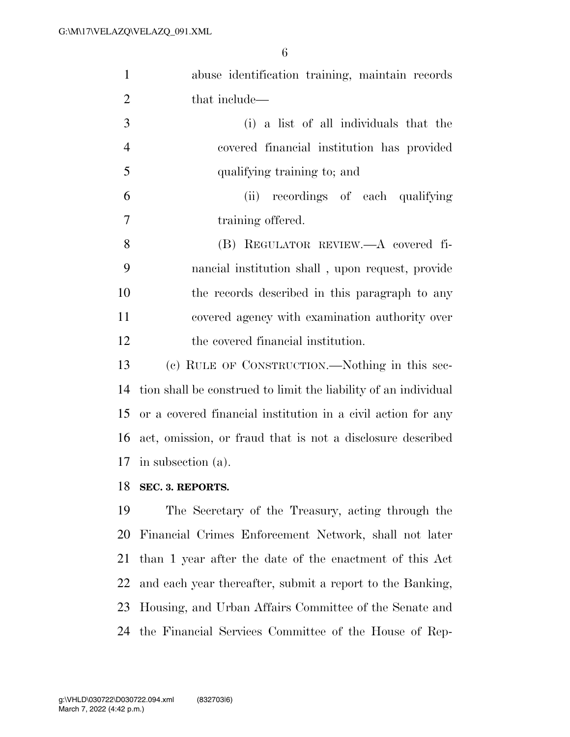| $\mathbf{1}$   | abuse identification training, maintain records                 |
|----------------|-----------------------------------------------------------------|
| $\overline{2}$ | that include—                                                   |
| 3              | (i) a list of all individuals that the                          |
| $\overline{4}$ | covered financial institution has provided                      |
| 5              | qualifying training to; and                                     |
| 6              | (ii) recordings of each qualifying                              |
| 7              | training offered.                                               |
| 8              | (B) REGULATOR REVIEW.—A covered fi-                             |
| 9              | nancial institution shall, upon request, provide                |
| 10             | the records described in this paragraph to any                  |
| 11             | covered agency with examination authority over                  |
| 12             | the covered financial institution.                              |
| 13             | (c) RULE OF CONSTRUCTION.—Nothing in this sec-                  |
| 14             | tion shall be construed to limit the liability of an individual |
| 15             | or a covered financial institution in a civil action for any    |
| 16             | act, omission, or fraud that is not a disclosure described      |
| 17             | in subsection (a).                                              |
| 18             | SEC. 3. REPORTS.                                                |
| 19             | The Secretary of the Treasury, acting through the               |
| 20             | Financial Crimes Enforcement Network, shall not later           |
| 21             | than 1 year after the date of the enactment of this Act         |
| 22             | and each year thereafter, submit a report to the Banking,       |
| 23             | Housing, and Urban Affairs Committee of the Senate and          |
|                |                                                                 |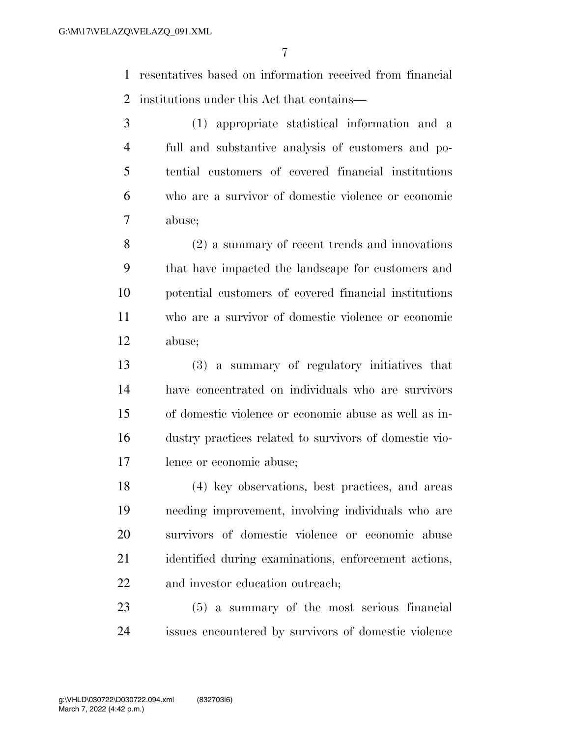resentatives based on information received from financial institutions under this Act that contains—

 (1) appropriate statistical information and a full and substantive analysis of customers and po- tential customers of covered financial institutions who are a survivor of domestic violence or economic abuse;

 (2) a summary of recent trends and innovations that have impacted the landscape for customers and potential customers of covered financial institutions who are a survivor of domestic violence or economic abuse;

 (3) a summary of regulatory initiatives that have concentrated on individuals who are survivors of domestic violence or economic abuse as well as in- dustry practices related to survivors of domestic vio-lence or economic abuse;

 (4) key observations, best practices, and areas needing improvement, involving individuals who are survivors of domestic violence or economic abuse identified during examinations, enforcement actions, 22 and investor education outreach;

 (5) a summary of the most serious financial issues encountered by survivors of domestic violence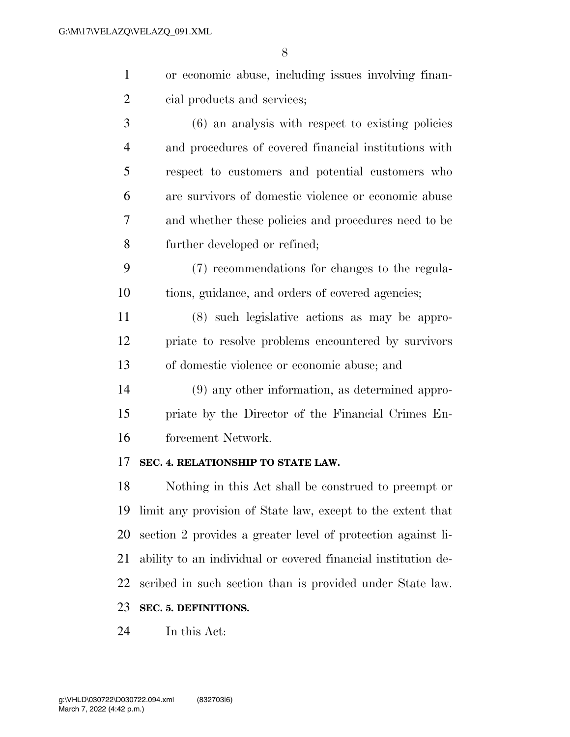| or economic abuse, including issues involving finan- |
|------------------------------------------------------|
| cial products and services;                          |

 (6) an analysis with respect to existing policies and procedures of covered financial institutions with respect to customers and potential customers who are survivors of domestic violence or economic abuse and whether these policies and procedures need to be further developed or refined;

 (7) recommendations for changes to the regula-tions, guidance, and orders of covered agencies;

 (8) such legislative actions as may be appro- priate to resolve problems encountered by survivors of domestic violence or economic abuse; and

 (9) any other information, as determined appro- priate by the Director of the Financial Crimes En-forcement Network.

## **SEC. 4. RELATIONSHIP TO STATE LAW.**

 Nothing in this Act shall be construed to preempt or limit any provision of State law, except to the extent that section 2 provides a greater level of protection against li- ability to an individual or covered financial institution de-scribed in such section than is provided under State law.

## **SEC. 5. DEFINITIONS.**

In this Act: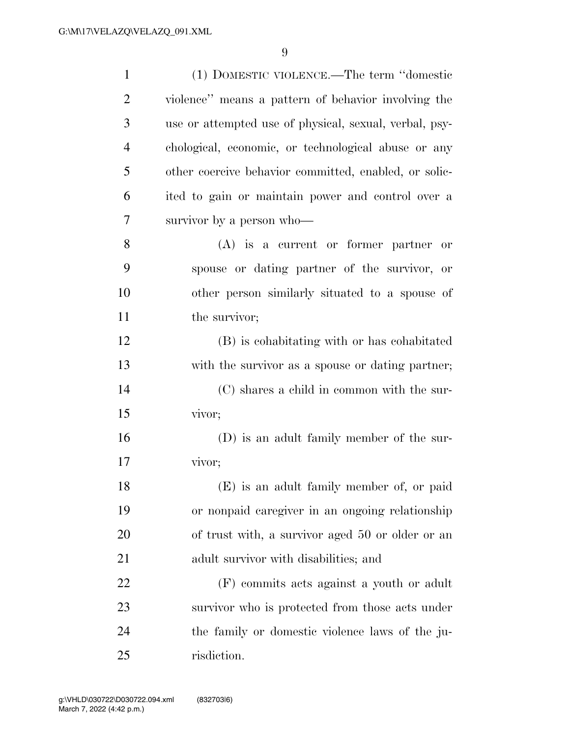| $\mathbf{1}$   | (1) DOMESTIC VIOLENCE.—The term "domestic              |
|----------------|--------------------------------------------------------|
| $\overline{2}$ | violence" means a pattern of behavior involving the    |
| 3              | use or attempted use of physical, sexual, verbal, psy- |
| 4              | chological, economic, or technological abuse or any    |
| 5              | other coercive behavior committed, enabled, or solic-  |
| 6              | ited to gain or maintain power and control over a      |
| 7              | survivor by a person who—                              |
| 8              | $(A)$ is a current or former partner or                |
| 9              | spouse or dating partner of the survivor, or           |
| 10             | other person similarly situated to a spouse of         |
| 11             | the survivor;                                          |
| 12             | (B) is cohabitating with or has cohabitated            |
| 13             | with the survivor as a spouse or dating partner;       |
| 14             | (C) shares a child in common with the sur-             |
| 15             | vivor;                                                 |
| 16             | (D) is an adult family member of the sur-              |
| 17             | vivor;                                                 |
| 18             | (E) is an adult family member of, or paid              |
| 19             | or nonpaid caregiver in an ongoing relationship        |
| 20             | of trust with, a survivor aged 50 or older or an       |
| 21             | adult survivor with disabilities; and                  |
| 22             | (F) commits acts against a youth or adult              |
| 23             | survivor who is protected from those acts under        |
| 24             | the family or domestic violence laws of the ju-        |
| 25             | risdiction.                                            |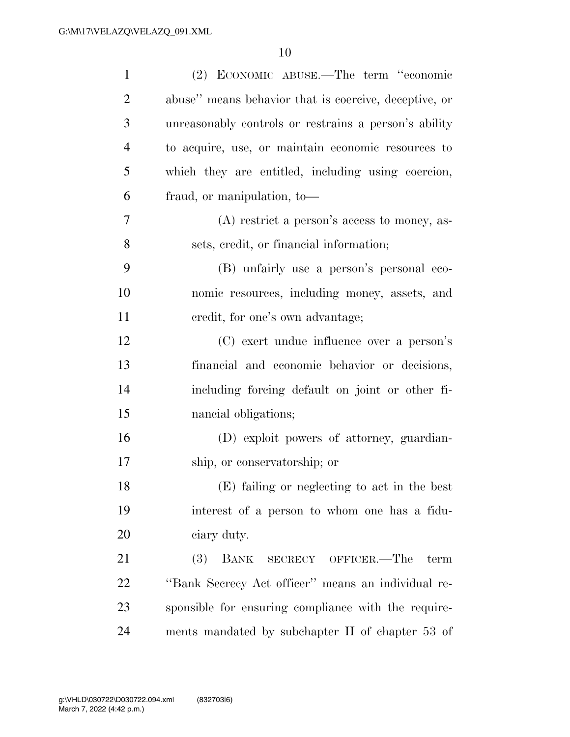| $\mathbf{1}$   | (2) ECONOMIC ABUSE.—The term "economic                |
|----------------|-------------------------------------------------------|
| $\overline{2}$ | abuse" means behavior that is coercive, deceptive, or |
| 3              | unreasonably controls or restrains a person's ability |
| $\overline{4}$ | to acquire, use, or maintain economic resources to    |
| 5              | which they are entitled, including using coercion,    |
| 6              | fraud, or manipulation, to-                           |
| 7              | $(A)$ restrict a person's access to money, as-        |
| 8              | sets, credit, or financial information;               |
| 9              | (B) unfairly use a person's personal eco-             |
| 10             | nomic resources, including money, assets, and         |
| 11             | credit, for one's own advantage;                      |
| 12             | (C) exert undue influence over a person's             |
| 13             | financial and economic behavior or decisions,         |
| 14             | including forcing default on joint or other fi-       |
| 15             | nancial obligations;                                  |
| 16             | (D) exploit powers of attorney, guardian-             |
| 17             | ship, or conservatorship; or                          |
| 18             | (E) failing or neglecting to act in the best          |
| 19             | interest of a person to whom one has a fidu-          |
| 20             | ciary duty.                                           |
| 21             | (3)<br>BANK<br>SECRECY OFFICER.—The term              |
| 22             | "Bank Secrecy Act officer" means an individual re-    |
| 23             | sponsible for ensuring compliance with the require-   |
| 24             | ments mandated by subchapter II of chapter 53 of      |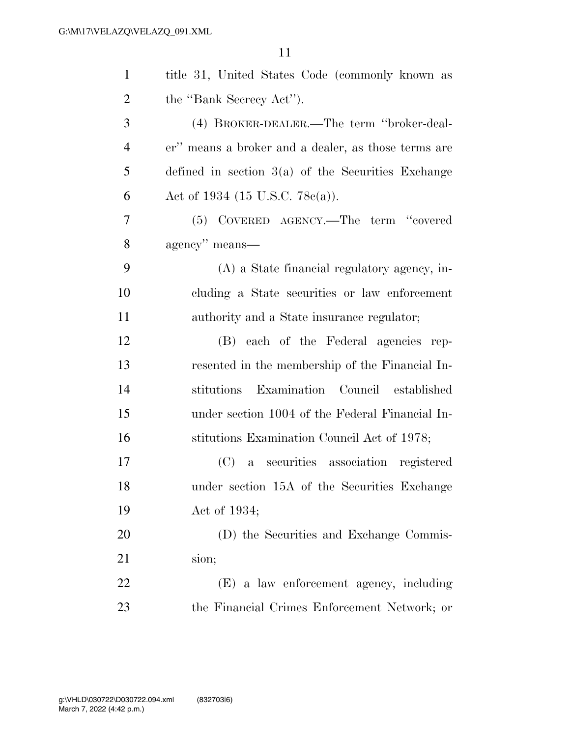| $\mathbf{1}$   | title 31, United States Code (commonly known as      |
|----------------|------------------------------------------------------|
| $\overline{2}$ | the "Bank Secrecy Act").                             |
| 3              | (4) BROKER-DEALER.—The term "broker-deal-            |
| $\overline{4}$ | er" means a broker and a dealer, as those terms are  |
| 5              | defined in section $3(a)$ of the Securities Exchange |
| 6              | Act of 1934 (15 U.S.C. 78 $e(a)$ ).                  |
| 7              | (5) COVERED AGENCY.—The term "covered                |
| 8              | agency" means—                                       |
| 9              | (A) a State financial regulatory agency, in-         |
| 10             | cluding a State securities or law enforcement        |
| 11             | authority and a State insurance regulator;           |
| 12             | (B) each of the Federal agencies rep-                |
| 13             | resented in the membership of the Financial In-      |
| 14             | stitutions Examination Council established           |
| 15             | under section 1004 of the Federal Financial In-      |
| 16             | stitutions Examination Council Act of 1978;          |
| 17             | (C) a securities association registered              |
| 18             | under section 15A of the Securities Exchange         |
| 19             | Act of 1934;                                         |
| 20             | (D) the Securities and Exchange Commis-              |
| 21             | sion;                                                |
| 22             | (E) a law enforcement agency, including              |
| 23             | the Financial Crimes Enforcement Network; or         |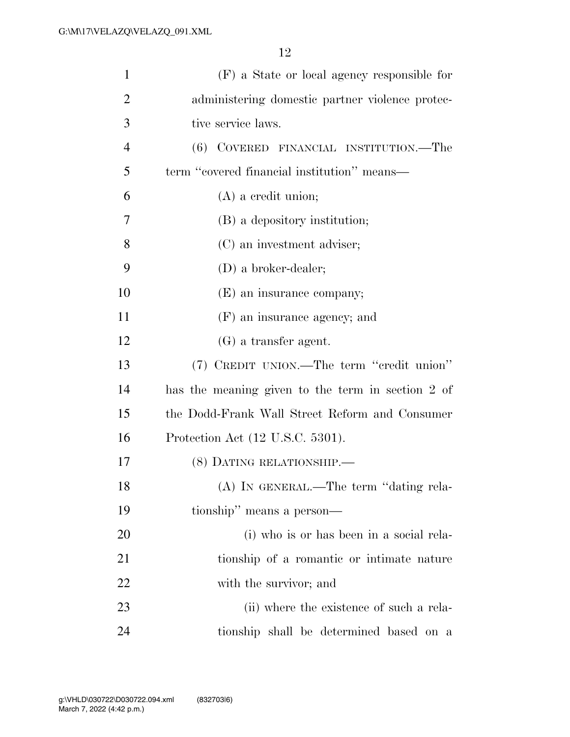| $\mathbf{1}$   | (F) a State or local agency responsible for       |
|----------------|---------------------------------------------------|
| $\overline{2}$ | administering domestic partner violence protec-   |
| 3              | tive service laws.                                |
| $\overline{4}$ | (6) COVERED FINANCIAL INSTITUTION.—The            |
| 5              | term "covered financial institution" means—       |
| 6              | $(A)$ a credit union;                             |
| 7              | (B) a depository institution;                     |
| 8              | (C) an investment adviser;                        |
| 9              | $(D)$ a broker-dealer;                            |
| 10             | (E) an insurance company;                         |
| 11             | (F) an insurance agency; and                      |
| 12             | $(G)$ a transfer agent.                           |
| 13             | (7) CREDIT UNION.—The term "credit union"         |
| 14             | has the meaning given to the term in section 2 of |
| 15             | the Dodd-Frank Wall Street Reform and Consumer    |
| 16             | Protection Act (12 U.S.C. 5301).                  |
| 17             | (8) DATING RELATIONSHIP.                          |
| 18             | (A) IN GENERAL.—The term "dating rela-            |
| 19             | tionship" means a person—                         |
| <b>20</b>      | (i) who is or has been in a social rela-          |
| 21             | tionship of a romantic or intimate nature         |
| 22             | with the survivor; and                            |
| 23             | (ii) where the existence of such a rela-          |
| 24             | tionship shall be determined based on a           |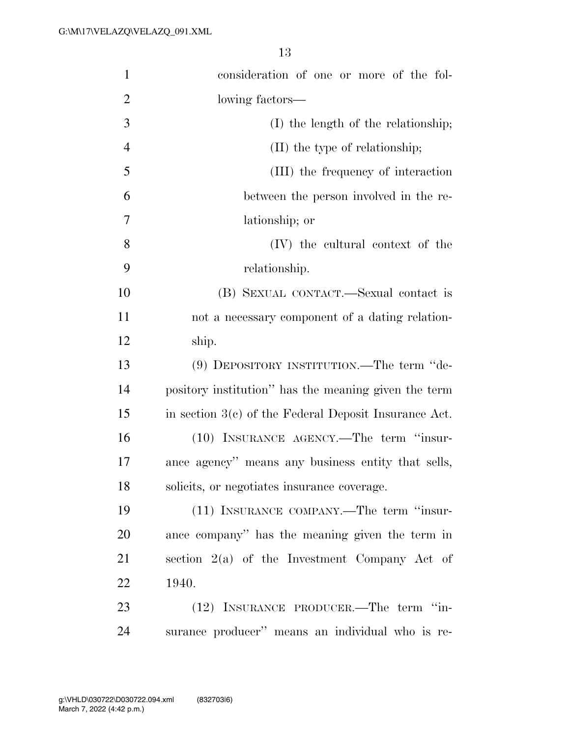| $\mathbf{1}$   | consideration of one or more of the fol-                |
|----------------|---------------------------------------------------------|
| $\overline{2}$ | lowing factors—                                         |
| 3              | (I) the length of the relationship;                     |
| $\overline{4}$ | (II) the type of relationship;                          |
| 5              | (III) the frequency of interaction                      |
| 6              | between the person involved in the re-                  |
| 7              | lationship; or                                          |
| 8              | (IV) the cultural context of the                        |
| 9              | relationship.                                           |
| 10             | (B) SEXUAL CONTACT.—Sexual contact is                   |
| 11             | not a necessary component of a dating relation-         |
| 12             | ship.                                                   |
| 13             | (9) DEPOSITORY INSTITUTION.—The term "de-               |
| 14             | pository institution" has the meaning given the term    |
| 15             | in section $3(c)$ of the Federal Deposit Insurance Act. |
| 16             | (10) INSURANCE AGENCY.—The term "insur-                 |
| 17             | ance agency" means any business entity that sells,      |
| 18             | solicits, or negotiates insurance coverage.             |
| 19             | (11) INSURANCE COMPANY.—The term "insur-                |
| 20             | ance company" has the meaning given the term in         |
| 21             | section $2(a)$ of the Investment Company Act of         |
| 22             | 1940.                                                   |
| 23             | (12) INSURANCE PRODUCER.—The term "in-                  |
| 24             | surance producer" means an individual who is re-        |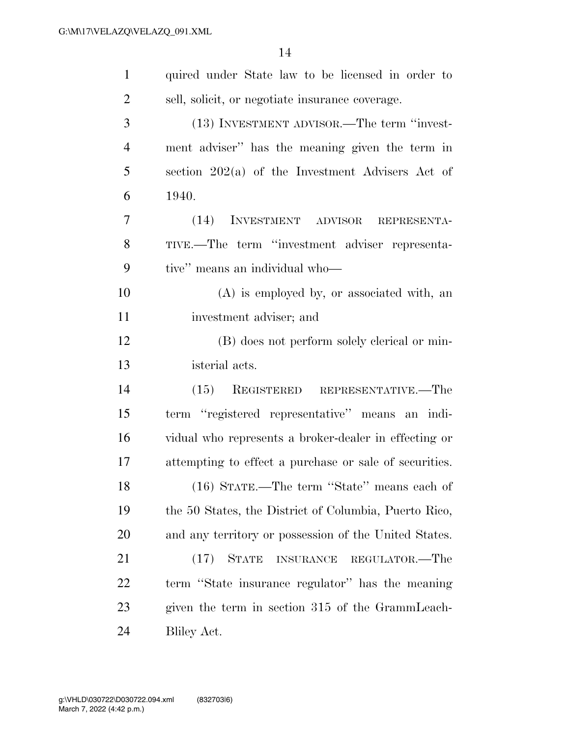| $\mathbf{1}$   | quired under State law to be licensed in order to      |
|----------------|--------------------------------------------------------|
| $\overline{2}$ | sell, solicit, or negotiate insurance coverage.        |
| 3              | (13) INVESTMENT ADVISOR.—The term "invest-             |
| $\overline{4}$ | ment adviser" has the meaning given the term in        |
| 5              | section $202(a)$ of the Investment Advisers Act of     |
| 6              | 1940.                                                  |
| 7              | INVESTMENT ADVISOR<br>(14)<br>REPRESENTA-              |
| 8              | TIVE.—The term "investment adviser representa-         |
| 9              | tive" means an individual who-                         |
| 10             | (A) is employed by, or associated with, an             |
| 11             | investment adviser; and                                |
| 12             | (B) does not perform solely clerical or min-           |
| 13             | isterial acts.                                         |
| 14             | $(15)$ REGISTERED REPRESENTATIVE.—The                  |
| 15             | term "registered representative" means an indi-        |
| 16             | vidual who represents a broker-dealer in effecting or  |
| 17             | attempting to effect a purchase or sale of securities. |
| 18             | (16) STATE.—The term "State" means each of             |
| 19             | the 50 States, the District of Columbia, Puerto Rico,  |
| 20             | and any territory or possession of the United States.  |
| 21             | <b>STATE</b><br>(17)<br>INSURANCE REGULATOR.-The       |
| 22             | term "State insurance regulator" has the meaning       |
| 23             | given the term in section 315 of the GrammLeach-       |
| 24             | Bliley Act.                                            |